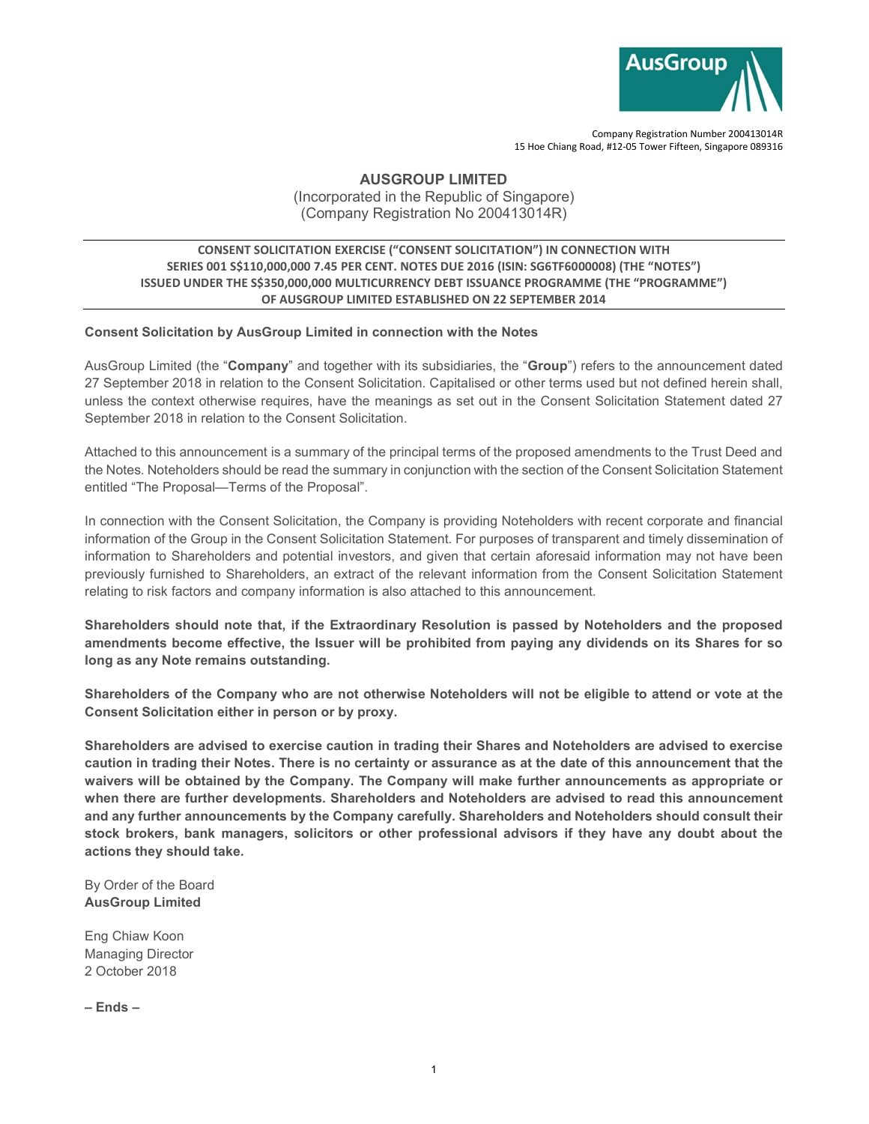

Company Registration Number 200413014R 15 Hoe Chiang Road, #12-05 Tower Fifteen, Singapore 089316

AUSGROUP LIMITED

(Incorporated in the Republic of Singapore) (Company Registration No 200413014R)

## CONSENT SOLICITATION EXERCISE ("CONSENT SOLICITATION") IN CONNECTION WITH SERIES 001 S\$110,000,000 7.45 PER CENT. NOTES DUE 2016 (ISIN: SG6TF6000008) (THE "NOTES") ISSUED UNDER THE S\$350,000,000 MULTICURRENCY DEBT ISSUANCE PROGRAMME (THE "PROGRAMME") OF AUSGROUP LIMITED ESTABLISHED ON 22 SEPTEMBER 2014

## Consent Solicitation by AusGroup Limited in connection with the Notes

AusGroup Limited (the "Company" and together with its subsidiaries, the "Group") refers to the announcement dated 27 September 2018 in relation to the Consent Solicitation. Capitalised or other terms used but not defined herein shall, unless the context otherwise requires, have the meanings as set out in the Consent Solicitation Statement dated 27 September 2018 in relation to the Consent Solicitation.

Attached to this announcement is a summary of the principal terms of the proposed amendments to the Trust Deed and the Notes. Noteholders should be read the summary in conjunction with the section of the Consent Solicitation Statement entitled "The Proposal—Terms of the Proposal".

In connection with the Consent Solicitation, the Company is providing Noteholders with recent corporate and financial information of the Group in the Consent Solicitation Statement. For purposes of transparent and timely dissemination of information to Shareholders and potential investors, and given that certain aforesaid information may not have been previously furnished to Shareholders, an extract of the relevant information from the Consent Solicitation Statement relating to risk factors and company information is also attached to this announcement.

Shareholders should note that, if the Extraordinary Resolution is passed by Noteholders and the proposed amendments become effective, the Issuer will be prohibited from paying any dividends on its Shares for so long as any Note remains outstanding.

Shareholders of the Company who are not otherwise Noteholders will not be eligible to attend or vote at the Consent Solicitation either in person or by proxy.

Shareholders are advised to exercise caution in trading their Shares and Noteholders are advised to exercise caution in trading their Notes. There is no certainty or assurance as at the date of this announcement that the waivers will be obtained by the Company. The Company will make further announcements as appropriate or when there are further developments. Shareholders and Noteholders are advised to read this announcement and any further announcements by the Company carefully. Shareholders and Noteholders should consult their stock brokers, bank managers, solicitors or other professional advisors if they have any doubt about the actions they should take.

By Order of the Board AusGroup Limited

Eng Chiaw Koon Managing Director 2 October 2018

– Ends –